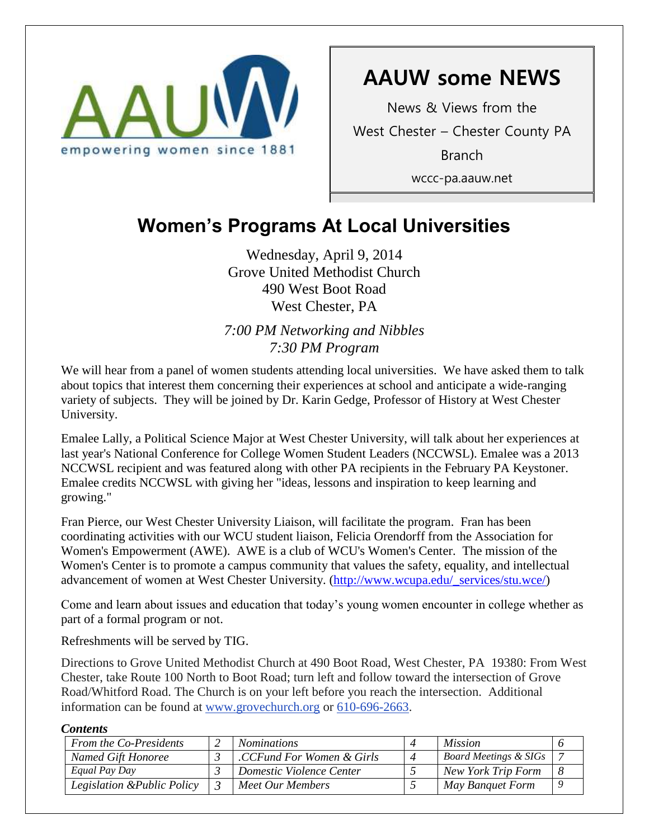

# **AAUW some NEWS**

News & Views from the West Chester – Chester County PA Branch wccc-pa.aauw.net

# **Women's Programs At Local Universities**

Wednesday, April 9, 2014 Grove United Methodist Church 490 West Boot Road West Chester, PA

*7:00 PM Networking and Nibbles 7:30 PM Program*

We will hear from a panel of women students attending local universities. We have asked them to talk about topics that interest them concerning their experiences at school and anticipate a wide-ranging variety of subjects. They will be joined by Dr. Karin Gedge, Professor of History at West Chester University.

Emalee Lally, a Political Science Major at West Chester University, will talk about her experiences at last year's National Conference for College Women Student Leaders (NCCWSL). Emalee was a 2013 NCCWSL recipient and was featured along with other PA recipients in the February PA Keystoner. Emalee credits NCCWSL with giving her "ideas, lessons and inspiration to keep learning and growing."

Fran Pierce, our West Chester University Liaison, will facilitate the program. Fran has been coordinating activities with our WCU student liaison, Felicia Orendorff from the Association for Women's Empowerment (AWE). AWE is a club of WCU's Women's Center. The mission of the Women's Center is to promote a campus community that values the safety, equality, and intellectual advancement of women at West Chester University. [\(http://www.wcupa.edu/\\_services/stu.wce/\)](http://www.wcupa.edu/_services/stu.wce/)

Come and learn about issues and education that today's young women encounter in college whether as part of a formal program or not.

Refreshments will be served by TIG.

Directions to Grove United Methodist Church at 490 Boot Road, West Chester, PA 19380: From West Chester, take Route 100 North to Boot Road; turn left and follow toward the intersection of Grove Road/Whitford Road. The Church is on your left before you reach the intersection. Additional information can be found at [www.grovechurch.org](http://www.grovechurch.org/) or [610-696-2663.](tel:610-696-2663)

### *Contents*

| From the Co-Presidents      | <i>Nominations</i>        |                | <i>Mission</i>                   |   |
|-----------------------------|---------------------------|----------------|----------------------------------|---|
| Named Gift Honoree          | .CCFund For Women & Girls | $\overline{4}$ | <b>Board Meetings &amp; SIGs</b> |   |
| Equal Pay Day               | Domestic Violence Center  |                | New York Trip Form               |   |
| Legislation & Public Policy | Meet Our Members          |                | May Banquet Form                 | Q |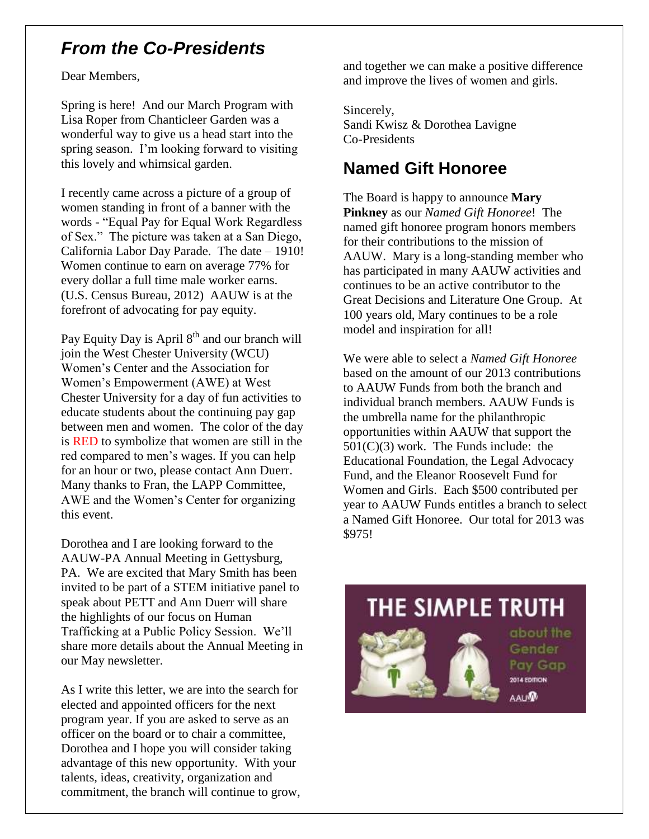## *From the Co-Presidents*

Dear Members,

Spring is here! And our March Program with Lisa Roper from Chanticleer Garden was a wonderful way to give us a head start into the spring season. I'm looking forward to visiting this lovely and whimsical garden.

I recently came across a picture of a group of women standing in front of a banner with the words - "Equal Pay for Equal Work Regardless of Sex." The picture was taken at a San Diego, California Labor Day Parade. The date – 1910! Women continue to earn on average 77% for every dollar a full time male worker earns. (U.S. Census Bureau, 2012) AAUW is at the forefront of advocating for pay equity.

Pay Equity Day is April  $8<sup>th</sup>$  and our branch will join the West Chester University (WCU) Women's Center and the Association for Women's Empowerment (AWE) at West Chester University for a day of fun activities to educate students about the continuing pay gap between men and women. The color of the day is RED to symbolize that women are still in the red compared to men's wages. If you can help for an hour or two, please contact Ann Duerr. Many thanks to Fran, the LAPP Committee, AWE and the Women's Center for organizing this event.

Dorothea and I are looking forward to the AAUW-PA Annual Meeting in Gettysburg, PA. We are excited that Mary Smith has been invited to be part of a STEM initiative panel to speak about PETT and Ann Duerr will share the highlights of our focus on Human Trafficking at a Public Policy Session. We'll share more details about the Annual Meeting in our May newsletter.

As I write this letter, we are into the search for elected and appointed officers for the next program year. If you are asked to serve as an officer on the board or to chair a committee, Dorothea and I hope you will consider taking advantage of this new opportunity. With your talents, ideas, creativity, organization and commitment, the branch will continue to grow, and together we can make a positive difference and improve the lives of women and girls.

Sincerely, Sandi Kwisz & Dorothea Lavigne Co-Presidents

## **Named Gift Honoree**

The Board is happy to announce **Mary Pinkney** as our *Named Gift Honoree*! The named gift honoree program honors members for their contributions to the mission of AAUW. Mary is a long-standing member who has participated in many AAUW activities and continues to be an active contributor to the Great Decisions and Literature One Group. At 100 years old, Mary continues to be a role model and inspiration for all!

We were able to select a *Named Gift Honoree* based on the amount of our 2013 contributions to AAUW Funds from both the branch and individual branch members. AAUW Funds is the umbrella name for the philanthropic opportunities within AAUW that support the  $501(C)(3)$  work. The Funds include: the Educational Foundation, the Legal Advocacy Fund, and the Eleanor Roosevelt Fund for Women and Girls. Each \$500 contributed per year to AAUW Funds entitles a branch to select a Named Gift Honoree. Our total for 2013 was \$975!

# THE SIMPLE TRUTH



about the Gender Pay Gap 2014 EDITION **AAUM**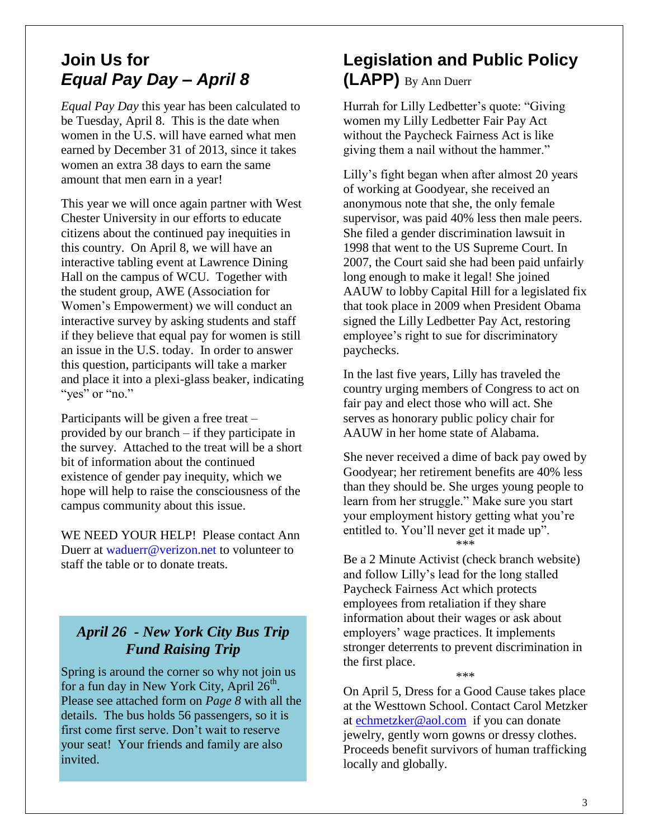## **Join Us for** *Equal Pay Day – April 8*

*Equal Pay Day* this year has been calculated to be Tuesday, April 8. This is the date when women in the U.S. will have earned what men earned by December 31 of 2013, since it takes women an extra 38 days to earn the same amount that men earn in a year!

This year we will once again partner with West Chester University in our efforts to educate citizens about the continued pay inequities in this country. On April 8, we will have an interactive tabling event at Lawrence Dining Hall on the campus of WCU. Together with the student group, AWE (Association for Women's Empowerment) we will conduct an interactive survey by asking students and staff if they believe that equal pay for women is still an issue in the U.S. today. In order to answer this question, participants will take a marker and place it into a plexi-glass beaker, indicating "yes" or "no."

Participants will be given a free treat – provided by our branch – if they participate in the survey. Attached to the treat will be a short bit of information about the continued existence of gender pay inequity, which we hope will help to raise the consciousness of the campus community about this issue.

WE NEED YOUR HELP! Please contact Ann Duerr at [waduerr@verizon.net](mailto:waduerr@verizon.net) to volunteer to staff the table or to donate treats.

### *April 26 - New York City Bus Trip Fund Raising Trip*

Spring is around the corner so why not join us for a fun day in New York City, April  $26<sup>th</sup>$ . Please see attached form on *Page 8* with all the details. The bus holds 56 passengers, so it is first come first serve. Don't wait to reserve your seat! Your friends and family are also invited.

## **Legislation and Public Policy (LAPP)** By Ann Duerr

Hurrah for Lilly Ledbetter's quote: "Giving women my Lilly Ledbetter Fair Pay Act without the Paycheck Fairness Act is like giving them a nail without the hammer."

Lilly's fight began when after almost 20 years of working at Goodyear, she received an anonymous note that she, the only female supervisor, was paid 40% less then male peers. She filed a gender discrimination lawsuit in 1998 that went to the US Supreme Court. In 2007, the Court said she had been paid unfairly long enough to make it legal! She joined AAUW to lobby Capital Hill for a legislated fix that took place in 2009 when President Obama signed the Lilly Ledbetter Pay Act, restoring employee's right to sue for discriminatory paychecks.

In the last five years, Lilly has traveled the country urging members of Congress to act on fair pay and elect those who will act. She serves as honorary public policy chair for AAUW in her home state of Alabama.

She never received a dime of back pay owed by Goodyear; her retirement benefits are 40% less than they should be. She urges young people to learn from her struggle." Make sure you start your employment history getting what you're entitled to. You'll never get it made up". \*\*\*

Be a 2 Minute Activist (check branch website) and follow Lilly's lead for the long stalled Paycheck Fairness Act which protects employees from retaliation if they share information about their wages or ask about employers' wage practices. It implements stronger deterrents to prevent discrimination in the first place.

\*\*\*

On April 5, Dress for a Good Cause takes place at the Westtown School. Contact Carol Metzker at [echmetzker@aol.com](mailto:echmetzker@aol.com) if you can donate jewelry, gently worn gowns or dressy clothes. Proceeds benefit survivors of human trafficking locally and globally.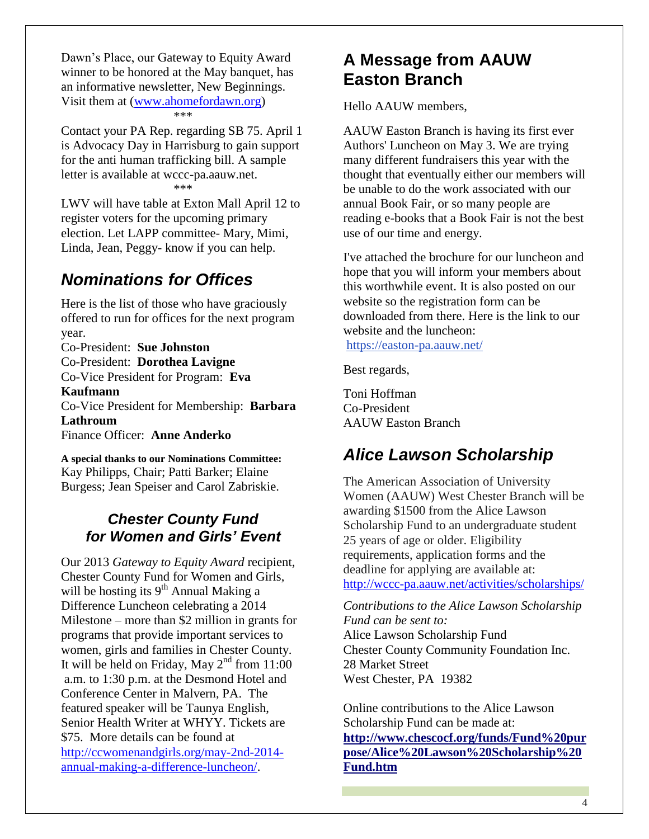Dawn's Place, our Gateway to Equity Award winner to be honored at the May banquet, has an informative newsletter, New Beginnings. Visit them at [\(www.ahomefordawn.org\)](http://www.ahomefordawn.org/) \*\*\*

Contact your PA Rep. regarding SB 75. April 1 is Advocacy Day in Harrisburg to gain support for the anti human trafficking bill. A sample letter is available at wccc-pa.aauw.net. \*\*\*

LWV will have table at Exton Mall April 12 to register voters for the upcoming primary election. Let LAPP committee- Mary, Mimi, Linda, Jean, Peggy- know if you can help.

## *Nominations for Offices*

Here is the list of those who have graciously offered to run for offices for the next program year.

Co-President: **Sue Johnston** Co-President: **Dorothea Lavigne** Co-Vice President for Program: **Eva Kaufmann** Co-Vice President for Membership: **Barbara Lathroum** Finance Officer: **Anne Anderko**

**A special thanks to our Nominations Committee:** Kay Philipps, Chair; Patti Barker; Elaine Burgess; Jean Speiser and Carol Zabriskie.

### *Chester County Fund for Women and Girls' Event*

Our 2013 *Gateway to Equity Award* recipient, Chester County Fund for Women and Girls, will be hosting its  $9<sup>th</sup>$  Annual Making a Difference Luncheon celebrating a 2014 Milestone – more than \$2 million in grants for programs that provide important services to women, girls and families in Chester County. It will be held on Friday, May  $2^{nd}$  from 11:00 a.m. to 1:30 p.m. at the Desmond Hotel and Conference Center in Malvern, PA. The featured speaker will be Taunya English, Senior Health Writer at WHYY. Tickets are \$75. More details can be found at [http://ccwomenandgirls.org/may-2nd-2014](http://ccwomenandgirls.org/may-2nd-2014-annual-making-a-difference-luncheon/) [annual-making-a-difference-luncheon/.](http://ccwomenandgirls.org/may-2nd-2014-annual-making-a-difference-luncheon/)

## **A Message from AAUW Easton Branch**

Hello AAUW members,

AAUW Easton Branch is having its first ever Authors' Luncheon on May 3. We are trying many different fundraisers this year with the thought that eventually either our members will be unable to do the work associated with our annual Book Fair, or so many people are reading e-books that a Book Fair is not the best use of our time and energy.

I've attached the brochure for our luncheon and hope that you will inform your members about this worthwhile event. It is also posted on our website so the registration form can be downloaded from there. Here is the link to our website and the luncheon:

<https://easton-pa.aauw.net/>

Best regards,

Toni Hoffman Co-President AAUW Easton Branch

## *Alice Lawson Scholarship*

The American Association of University Women (AAUW) West Chester Branch will be awarding \$1500 from the Alice Lawson Scholarship Fund to an undergraduate student 25 years of age or older. Eligibility requirements, application forms and the deadline for applying are available at: <http://wccc-pa.aauw.net/activities/scholarships/>

*Contributions to the Alice Lawson Scholarship Fund can be sent to:* Alice Lawson Scholarship Fund Chester County Community Foundation Inc. 28 Market Street West Chester, PA 19382

Online contributions to the Alice Lawson Scholarship Fund can be made at: **[http://www.chescocf.org/funds/Fund%20pur](http://www.chescocf.org/funds/Fund%20purpose/Alice%20Lawson%20Scholarship%20Fund.htm) [pose/Alice%20Lawson%20Scholarship%20](http://www.chescocf.org/funds/Fund%20purpose/Alice%20Lawson%20Scholarship%20Fund.htm) [Fund.htm](http://www.chescocf.org/funds/Fund%20purpose/Alice%20Lawson%20Scholarship%20Fund.htm)**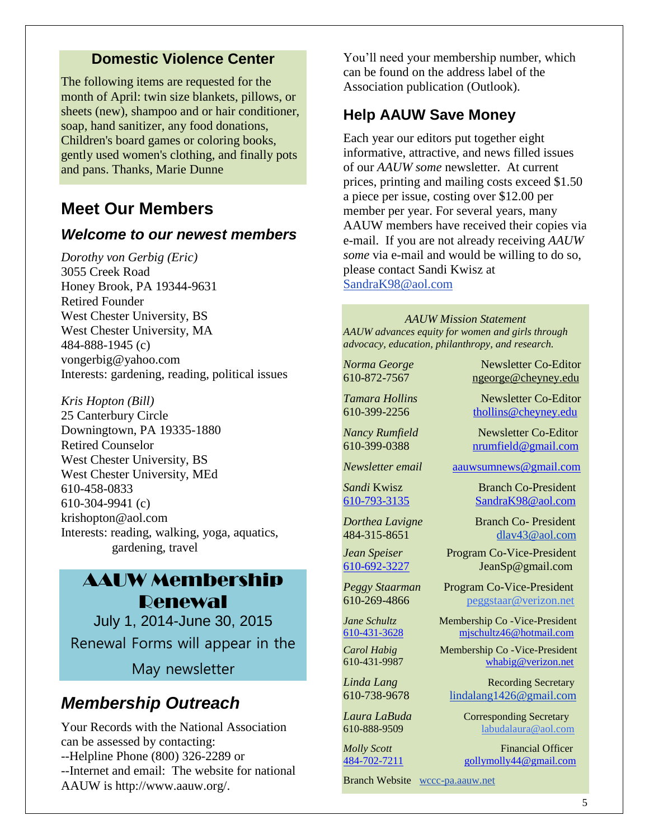### **Domestic Violence Center**

The following items are requested for the month of April: twin size blankets, pillows, or sheets (new), shampoo and or hair conditioner, soap, hand sanitizer, any food donations, Children's board games or coloring books, gently used women's clothing, and finally pots and pans. Thanks, Marie Dunne

## **Meet Our Members**

### *Welcome to our newest members*

*Dorothy von Gerbig (Eric)* 3055 Creek Road Honey Brook, PA 19344-9631 Retired Founder West Chester University, BS West Chester University, MA 484-888-1945 (c) vongerbig@yahoo.com Interests: gardening, reading, political issues

*Kris Hopton (Bill)* 25 Canterbury Circle Downingtown, PA 19335-1880 Retired Counselor West Chester University, BS West Chester University, MEd 610-458-0833 610-304-9941 (c) krishopton@aol.com Interests: reading, walking, yoga, aquatics, gardening, travel

## AAUW Membership Renewal

July 1, 2014-June 30, 2015 Renewal Forms will appear in the

May newsletter

## *Membership Outreach*

Your Records with the National Association can be assessed by contacting: --Helpline Phone (800) 326-2289 or --Internet and email: The website for national AAUW is http://www.aauw.org/.

You'll need your membership number, which can be found on the address label of the Association publication (Outlook).

### **Help AAUW Save Money**

Each year our editors put together eight informative, attractive, and news filled issues of our *AAUW some* newsletter. At current prices, printing and mailing costs exceed \$1.50 a piece per issue, costing over \$12.00 per member per year. For several years, many AAUW members have received their copies via e-mail. If you are not already receiving *AAUW some* via e-mail and would be willing to do so, please contact Sandi Kwisz at [SandraK98@aol.com](mailto:SandraK98@aol.com)

*AAUW Mission Statement AAUW advances equity for women and girls through advocacy, education, philanthropy, and research.*

*Norma George* Newsletter Co-Editor 610-872-7567 [ngeorge@cheyney.edu](mailto:ngeorge@cheyney.ecu)

**Tamara Hollins** Newsletter Co-Editor 610-399-2256 [thollins@cheyney.edu](mailto:thollins@cheyney.edu)

*Nancy Rumfield* **Newsletter Co-Editor** 610-399-0388 [nrumfield@gmail.com](mailto:nrumfield@gmail.com)

*Newsletter email* [aauwsumnews@gmail.com](mailto:aauwsumnews@gmail.com)

*Sandi* Kwisz Branch Co-President [610-793-3135](tel:610-793-3135) [SandraK98@aol.com](mailto:SandraK98@aol.com)

*Dorthea Lavigne* Branch Co- President 484-315-8651 [dlav43@aol.com](mailto:franpierce@verizon.net)

*Jean Speiser* Program Co-Vice-President [610-692-3227](tel:610-692-3227) JeanSp@gmail.com

*Peggy Staarman* Program Co-Vice-President 610-269-4866 [peggstaar@verizon.net](mailto:4dores@comcast.net)

*Jane Schultz* Membership Co -Vice-President [610-431-3628](tel:610-431-3628) [mjschultz46@hotmail.com](mailto:mjschultz46@hotmail.com)

*Carol Habig* Membership Co - Vice-President

610-431-9987 [whabig@verizon.net](mailto:mjschultz46@hotmail.com) *Linda Lang* **Recording Secretary** 

610-738-9678 lindalang1426@gmail.com

**Laura LaBuda Corresponding Secretary** 610-888-9509 labudalaura@aol.com

*Molly Scott* Financial Officer [484-702-7211](tel:484-702-7211) [gollymolly44@gmail.com](mailto:gollymolly44@gmail.com)

Branch Website [wccc-pa.aauw.net](http://wccc-pa.aauw.net/)

5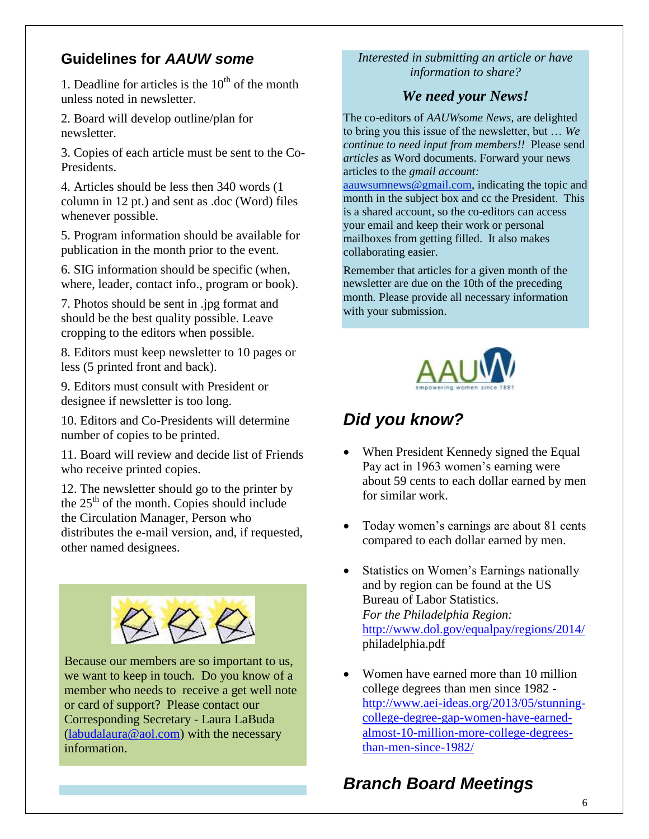### **Guidelines for** *AAUW some*

1. Deadline for articles is the  $10<sup>th</sup>$  of the month unless noted in newsletter.

2. Board will develop outline/plan for newsletter.

3. Copies of each article must be sent to the Co-Presidents.

4. Articles should be less then 340 words (1 column in 12 pt.) and sent as .doc (Word) files whenever possible.

5. Program information should be available for publication in the month prior to the event.

6. SIG information should be specific (when, where, leader, contact info., program or book).

7. Photos should be sent in .jpg format and should be the best quality possible. Leave cropping to the editors when possible.

8. Editors must keep newsletter to 10 pages or less (5 printed front and back).

9. Editors must consult with President or designee if newsletter is too long.

10. Editors and Co-Presidents will determine number of copies to be printed.

11. Board will review and decide list of Friends who receive printed copies.

12. The newsletter should go to the printer by the  $25<sup>th</sup>$  of the month. Copies should include the Circulation Manager, Person who distributes the e-mail version, and, if requested, other named designees.



Because our members are so important to us, we want to keep in touch. Do you know of a member who needs to receive a get well note or card of support? Please contact our Corresponding Secretary - Laura LaBuda [\(labudalaura@aol.com\)](mailto:labudalaura@aol.com) with the necessary information.

### *Interested in submitting an article or have information to share?*

### *We need your News!*

The co-editors of *AAUWsome News*, are delighted to bring you this issue of the newsletter, but … *We continue to need input from members!!* Please send *articles* as Word documents. Forward your news articles to the *gmail account:*

[aauwsumnews@gmail.com,](mailto:aauwsum@gmail.com) indicating the topic and month in the subject box and cc the President. This is a shared account, so the co-editors can access your email and keep their work or personal mailboxes from getting filled. It also makes collaborating easier.

Remember that articles for a given month of the newsletter are due on the 10th of the preceding month*.* Please provide all necessary information with your submission.



## *Did you know?*

- When President Kennedy signed the Equal Pay act in 1963 women's earning were about 59 cents to each dollar earned by men for similar work.
- Today women's earnings are about 81 cents compared to each dollar earned by men.
- Statistics on Women's Earnings nationally and by region can be found at the US Bureau of Labor Statistics. *For the Philadelphia Region:* <http://www.dol.gov/equalpay/regions/2014/> philadelphia.pdf
- Women have earned more than 10 million college degrees than men since 1982 [http://www.aei-ideas.org/2013/05/stunning](http://www.aei-ideas.org/2013/05/stunning-college-degree-gap-women-have-earned-almost-10-million-more-college-degrees-than-men-since-1982/)[college-degree-gap-women-have-earned](http://www.aei-ideas.org/2013/05/stunning-college-degree-gap-women-have-earned-almost-10-million-more-college-degrees-than-men-since-1982/)[almost-10-million-more-college-degrees](http://www.aei-ideas.org/2013/05/stunning-college-degree-gap-women-have-earned-almost-10-million-more-college-degrees-than-men-since-1982/)[than-men-since-1982/](http://www.aei-ideas.org/2013/05/stunning-college-degree-gap-women-have-earned-almost-10-million-more-college-degrees-than-men-since-1982/)

# *Branch Board Meetings*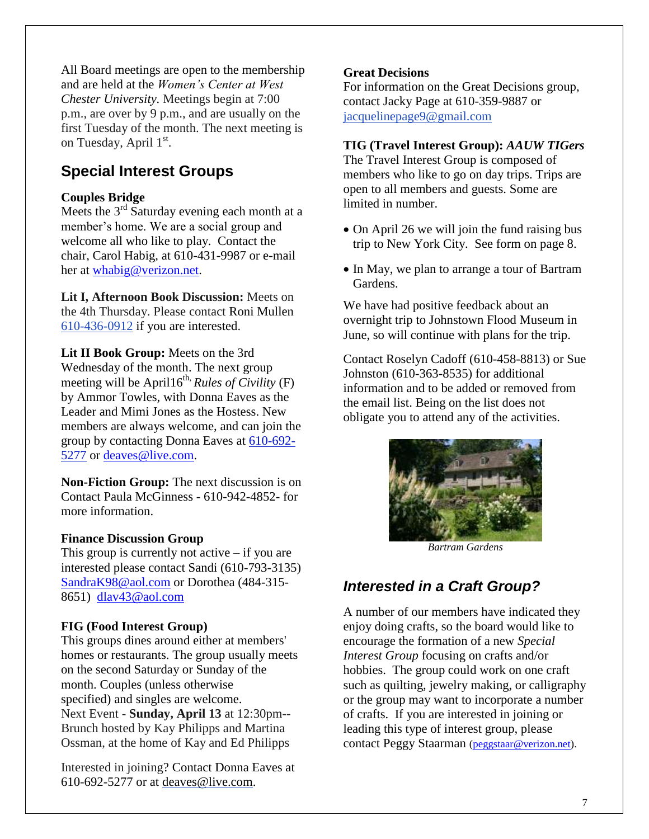All Board meetings are open to the membership and are held at the *Women's Center at West Chester University.* Meetings begin at 7:00 p.m., are over by 9 p.m., and are usually on the first Tuesday of the month. The next meeting is on Tuesday, April 1st.

### **Special Interest Groups**

### **Couples Bridge**

Meets the  $3<sup>rd</sup>$  Saturday evening each month at a member's home. We are a social group and welcome all who like to play. Contact the chair, Carol Habig, at 610-431-9987 or e-mail her at [whabig@verizon.net.](mailto:whabig@verizon.net)

**Lit I, Afternoon Book Discussion:** Meets on the 4th Thursday. Please contact Roni Mullen [610-436-0912](tel:610-436-0912) if you are interested.

**Lit II Book Group:** Meets on the 3rd Wednesday of the month. The next group meeting will be April $16^{th}$ , *Rules of Civility* (F) by Ammor Towles, with Donna Eaves as the Leader and Mimi Jones as the Hostess. New members are always welcome, and can join the group by contacting Donna Eaves at [610-692-](tel:610-692-5277) [5277](tel:610-692-5277) or [deaves@live.com.](mailto:deaves@live.com)

**Non-Fiction Group:** The next discussion is on Contact Paula McGinness - 610-942-4852- for more information.

### **Finance Discussion Group**

This group is currently not active  $-$  if you are interested please contact Sandi (610-793-3135) [SandraK98@aol.com](mailto:SandraK98@aol.com) or Dorothea (484-315- 8651) [dlav43@aol.com](mailto:dlav43@aol.com)

### **FIG (Food Interest Group)**

This groups dines around either at members' homes or restaurants. The group usually meets on the second Saturday or Sunday of the month. Couples (unless otherwise specified) and singles are welcome. Next Event - **Sunday, April 13** at 12:30pm-- Brunch hosted by Kay Philipps and Martina Ossman, at the home of Kay and Ed Philipps

Interested in joining? Contact Donna Eaves at 610-692-5277 or at [deaves@live.com.](mailto:deaves@live.com)

#### **Great Decisions**

For information on the Great Decisions group, contact Jacky Page at 610-359-9887 or [jacquelinepage9@gmail.com](mailto:jacquelinepage9@gmail.com)

#### **TIG (Travel Interest Group):** *AAUW TIGers*

The Travel Interest Group is composed of members who like to go on day trips. Trips are open to all members and guests. Some are limited in number.

- On April 26 we will join the fund raising bus trip to New York City. See form on page 8.
- In May, we plan to arrange a tour of Bartram Gardens.

We have had positive feedback about an overnight trip to Johnstown Flood Museum in June, so will continue with plans for the trip.

Contact Roselyn Cadoff (610-458-8813) or Sue Johnston (610-363-8535) for additional information and to be added or removed from the email list. Being on the list does not obligate you to attend any of the activities.



*Bartram Gardens*

### *Interested in a Craft Group?*

A number of our members have indicated they enjoy doing crafts, so the board would like to encourage the formation of a new *Special Interest Group* focusing on crafts and/or hobbies. The group could work on one craft such as quilting, jewelry making, or calligraphy or the group may want to incorporate a number of crafts. If you are interested in joining or leading this type of interest group, please contact Peggy Staarman [\(peggstaar@verizon.net\)](mailto:peggstaar@verizon.net).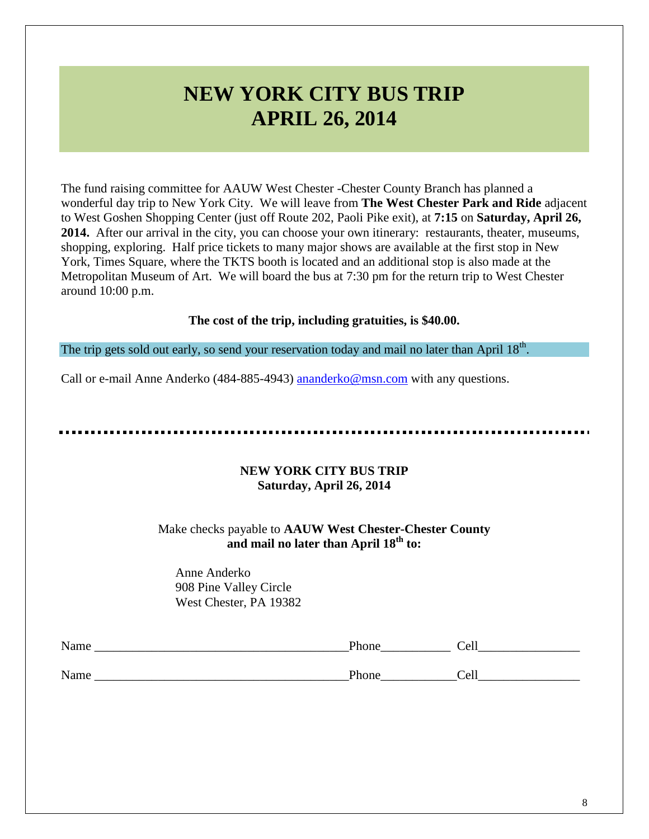# **NEW YORK CITY BUS TRIP APRIL 26, 2014**

The fund raising committee for AAUW West Chester -Chester County Branch has planned a wonderful day trip to New York City. We will leave from **The West Chester Park and Ride** adjacent to West Goshen Shopping Center (just off Route 202, Paoli Pike exit), at **7:15** on **Saturday, April 26, 2014.** After our arrival in the city, you can choose your own itinerary: restaurants, theater, museums, shopping, exploring. Half price tickets to many major shows are available at the first stop in New York, Times Square, where the TKTS booth is located and an additional stop is also made at the Metropolitan Museum of Art. We will board the bus at 7:30 pm for the return trip to West Chester around 10:00 p.m.

#### **The cost of the trip, including gratuities, is \$40.00.**

The trip gets sold out early, so send your reservation today and mail no later than April  $18<sup>th</sup>$ .

Call or e-mail Anne Anderko (484-885-4943) [ananderko@msn.com](mailto:ananderko@msn.com) with any questions.

### **NEW YORK CITY BUS TRIP Saturday, April 26, 2014**

### Make checks payable to **AAUW West Chester-Chester County and mail no later than April 18th to:**

Anne Anderko 908 Pine Valley Circle West Chester, PA 19382

| Name | Phone | Cell |
|------|-------|------|
|      |       |      |
| Name | Phone | Cell |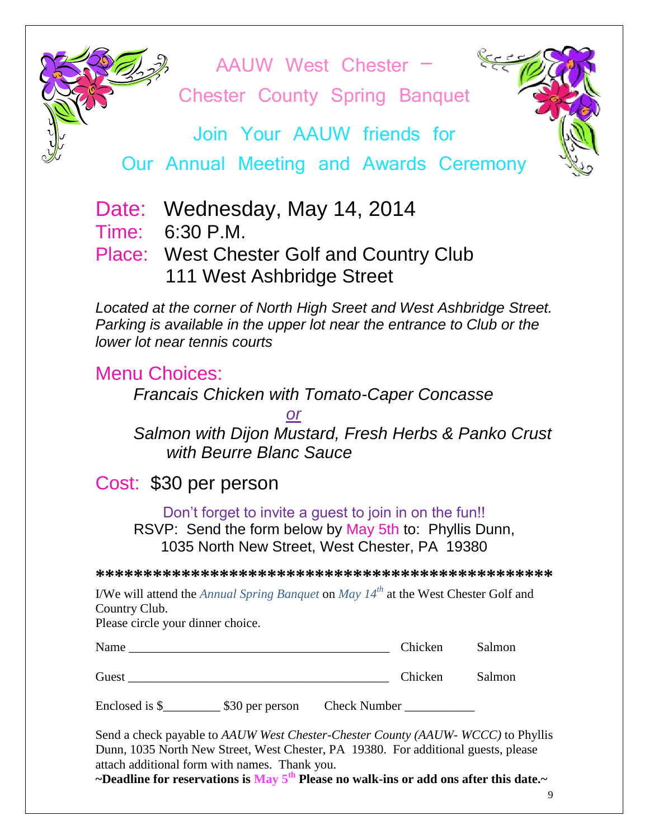AAUW West Chester –

Chester County Spring Banquet

Join Your AAUW friends for

Our Annual Meeting and Awards Ceremony

Date: Wednesday, May 14, 2014

Time: 6:30 P.M.

## Place: West Chester Golf and Country Club 111 West Ashbridge Street

*Located at the corner of North High Sreet and West Ashbridge Street. Parking is available in the upper lot near the entrance to Club or the lower lot near tennis courts*

## Menu Choices:

*Francais Chicken with Tomato-Caper Concasse* 

*or*

*Salmon with Dijon Mustard, Fresh Herbs & Panko Crust with Beurre Blanc Sauce*

## Cost: \$30 per person

Don't forget to invite a guest to join in on the fun!! RSVP: Send the form below by May 5th to: Phyllis Dunn, 1035 North New Street, West Chester, PA 19380

**\*\*\*\*\*\*\*\*\*\*\*\*\*\*\*\*\*\*\*\*\*\*\*\*\*\*\*\*\*\*\*\*\*\*\*\*\*\*\*\*\*\*\*\*\*\*\*\***

I/We will attend the *Annual Spring Banquet* on *May 14th* at the West Chester Golf and Country Club.

Please circle your dinner choice.

| Name  | Chicken | Salmon |
|-------|---------|--------|
| Guest | Chicken | Salmon |

Enclosed is \$  $$30$  per person Check Number

Send a check payable to *AAUW West Chester-Chester County (AAUW- WCCC)* to Phyllis Dunn, 1035 North New Street, West Chester, PA 19380. For additional guests, please attach additional form with names. Thank you.

**~Deadline for reservations is May 5th Please no walk-ins or add ons after this date.~**